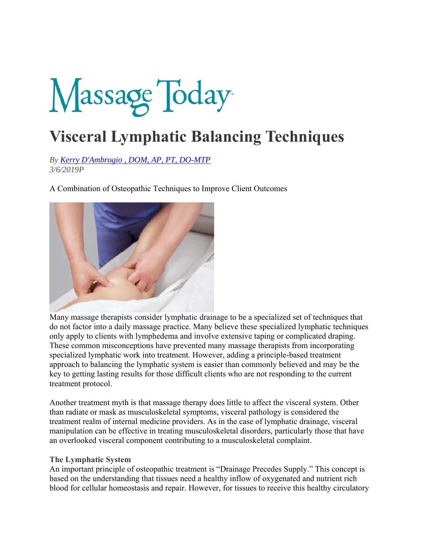# Massage Today

## **Visceral Lymphatic Balancing Techniques**

*By Kerry D'Ambrogio , DOM, AP, PT, DO-MTP 3/6/2019P* 

A Combination of Osteopathic Techniques to Improve Client Outcomes



Many massage therapists consider lymphatic drainage to be a specialized set of techniques that do not factor into a daily massage practice. Many believe these specialized lymphatic techniques only apply to clients with lymphedema and involve extensive taping or complicated draping. These common misconceptions have prevented many massage therapists from incorporating specialized lymphatic work into treatment. However, adding a principle-based treatment approach to balancing the lymphatic system is easier than commonly believed and may be the key to getting lasting results for those difficult clients who are not responding to the current treatment protocol.

Another treatment myth is that massage therapy does little to affect the visceral system. Other than radiate or mask as musculoskeletal symptoms, visceral pathology is considered the treatment realm of internal medicine providers. As in the case of lymphatic drainage, visceral manipulation can be effective in treating musculoskeletal disorders, particularly those that have an overlooked visceral component contributing to a musculoskeletal complaint.

#### **The Lymphatic System**

An important principle of osteopathic treatment is "Drainage Precedes Supply." This concept is based on the understanding that tissues need a healthy inflow of oxygenated and nutrient rich blood for cellular homeostasis and repair. However, for tissues to receive this healthy circulatory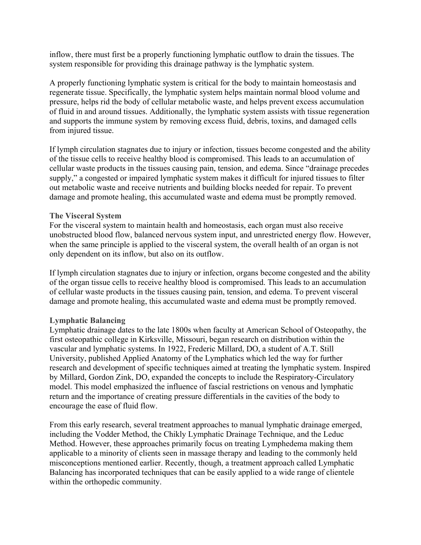inflow, there must first be a properly functioning lymphatic outflow to drain the tissues. The system responsible for providing this drainage pathway is the lymphatic system.

A properly functioning lymphatic system is critical for the body to maintain homeostasis and regenerate tissue. Specifically, the lymphatic system helps maintain normal blood volume and pressure, helps rid the body of cellular metabolic waste, and helps prevent excess accumulation of fluid in and around tissues. Additionally, the lymphatic system assists with tissue regeneration and supports the immune system by removing excess fluid, debris, toxins, and damaged cells from injured tissue.

If lymph circulation stagnates due to injury or infection, tissues become congested and the ability of the tissue cells to receive healthy blood is compromised. This leads to an accumulation of cellular waste products in the tissues causing pain, tension, and edema. Since "drainage precedes supply," a congested or impaired lymphatic system makes it difficult for injured tissues to filter out metabolic waste and receive nutrients and building blocks needed for repair. To prevent damage and promote healing, this accumulated waste and edema must be promptly removed.

#### **The Visceral System**

For the visceral system to maintain health and homeostasis, each organ must also receive unobstructed blood flow, balanced nervous system input, and unrestricted energy flow. However, when the same principle is applied to the visceral system, the overall health of an organ is not only dependent on its inflow, but also on its outflow.

If lymph circulation stagnates due to injury or infection, organs become congested and the ability of the organ tissue cells to receive healthy blood is compromised. This leads to an accumulation of cellular waste products in the tissues causing pain, tension, and edema. To prevent visceral damage and promote healing, this accumulated waste and edema must be promptly removed.

#### **Lymphatic Balancing**

Lymphatic drainage dates to the late 1800s when faculty at American School of Osteopathy, the first osteopathic college in Kirksville, Missouri, began research on distribution within the vascular and lymphatic systems. In 1922, Frederic Millard, DO, a student of A.T. Still University, published Applied Anatomy of the Lymphatics which led the way for further research and development of specific techniques aimed at treating the lymphatic system. Inspired by Millard, Gordon Zink, DO, expanded the concepts to include the Respiratory-Circulatory model. This model emphasized the influence of fascial restrictions on venous and lymphatic return and the importance of creating pressure differentials in the cavities of the body to encourage the ease of fluid flow.

From this early research, several treatment approaches to manual lymphatic drainage emerged, including the Vodder Method, the Chikly Lymphatic Drainage Technique, and the Leduc Method. However, these approaches primarily focus on treating Lymphedema making them applicable to a minority of clients seen in massage therapy and leading to the commonly held misconceptions mentioned earlier. Recently, though, a treatment approach called Lymphatic Balancing has incorporated techniques that can be easily applied to a wide range of clientele within the orthopedic community.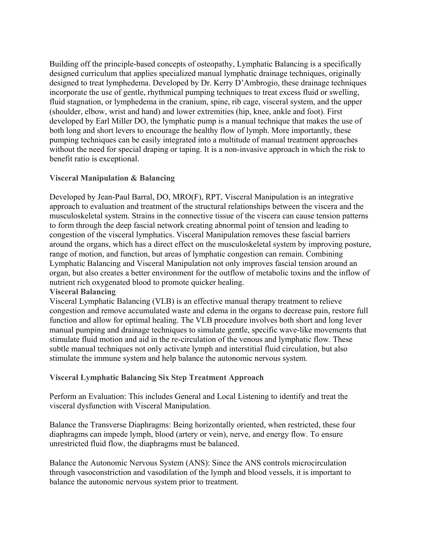Building off the principle-based concepts of osteopathy, Lymphatic Balancing is a specifically designed curriculum that applies specialized manual lymphatic drainage techniques, originally designed to treat lymphedema. Developed by Dr. Kerry D'Ambrogio, these drainage techniques incorporate the use of gentle, rhythmical pumping techniques to treat excess fluid or swelling, fluid stagnation, or lymphedema in the cranium, spine, rib cage, visceral system, and the upper (shoulder, elbow, wrist and hand) and lower extremities (hip, knee, ankle and foot). First developed by Earl Miller DO, the lymphatic pump is a manual technique that makes the use of both long and short levers to encourage the healthy flow of lymph. More importantly, these pumping techniques can be easily integrated into a multitude of manual treatment approaches without the need for special draping or taping. It is a non-invasive approach in which the risk to benefit ratio is exceptional.

### **Visceral Manipulation & Balancing**

Developed by Jean-Paul Barral, DO, MRO(F), RPT, Visceral Manipulation is an integrative approach to evaluation and treatment of the structural relationships between the viscera and the musculoskeletal system. Strains in the connective tissue of the viscera can cause tension patterns to form through the deep fascial network creating abnormal point of tension and leading to congestion of the visceral lymphatics. Visceral Manipulation removes these fascial barriers around the organs, which has a direct effect on the musculoskeletal system by improving posture, range of motion, and function, but areas of lymphatic congestion can remain. Combining Lymphatic Balancing and Visceral Manipulation not only improves fascial tension around an organ, but also creates a better environment for the outflow of metabolic toxins and the inflow of nutrient rich oxygenated blood to promote quicker healing.

#### **Visceral Balancing**

Visceral Lymphatic Balancing (VLB) is an effective manual therapy treatment to relieve congestion and remove accumulated waste and edema in the organs to decrease pain, restore full function and allow for optimal healing. The VLB procedure involves both short and long lever manual pumping and drainage techniques to simulate gentle, specific wave-like movements that stimulate fluid motion and aid in the re-circulation of the venous and lymphatic flow. These subtle manual techniques not only activate lymph and interstitial fluid circulation, but also stimulate the immune system and help balance the autonomic nervous system.

#### **Visceral Lymphatic Balancing Six Step Treatment Approach**

Perform an Evaluation: This includes General and Local Listening to identify and treat the visceral dysfunction with Visceral Manipulation.

Balance the Transverse Diaphragms: Being horizontally oriented, when restricted, these four diaphragms can impede lymph, blood (artery or vein), nerve, and energy flow. To ensure unrestricted fluid flow, the diaphragms must be balanced.

Balance the Autonomic Nervous System (ANS): Since the ANS controls microcirculation through vasoconstriction and vasodilation of the lymph and blood vessels, it is important to balance the autonomic nervous system prior to treatment.